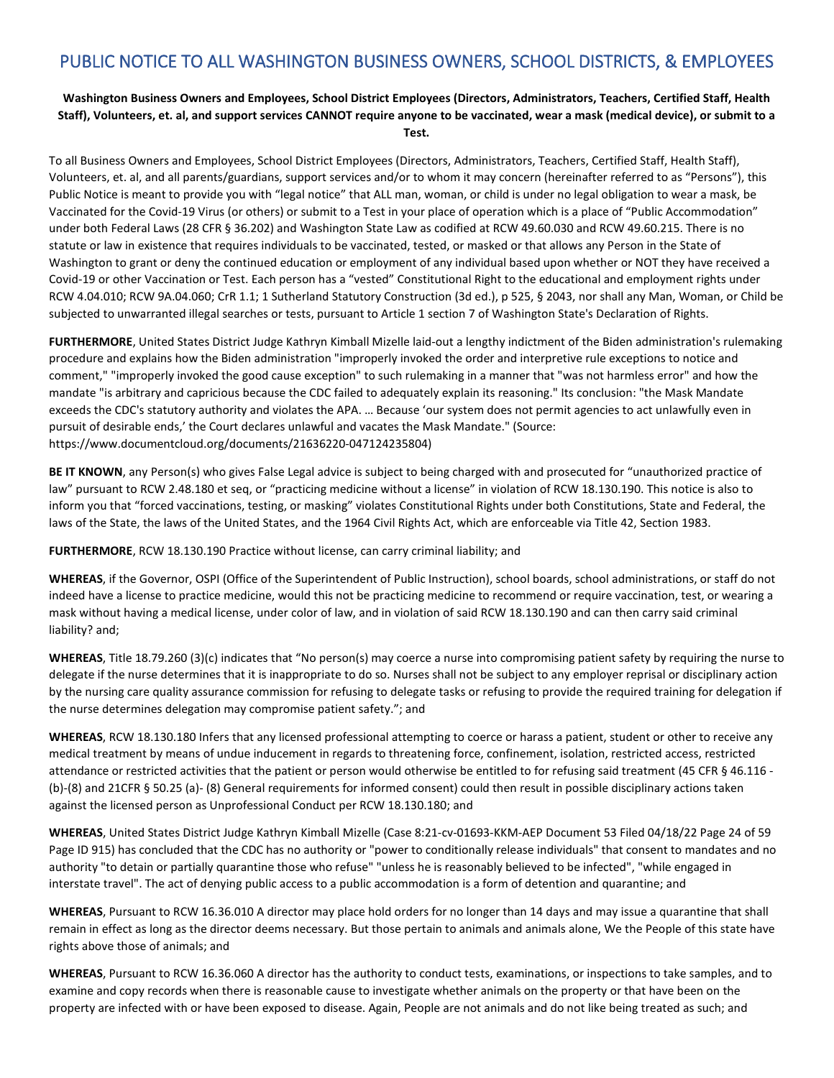## **Washington Business Owners and Employees, School District Employees (Directors, Administrators, Teachers, Certified Staff, Health Staff), Volunteers, et. al, and support services CANNOT require anyone to be vaccinated, wear a mask (medical device), or submit to a Test.**

To all Business Owners and Employees, School District Employees (Directors, Administrators, Teachers, Certified Staff, Health Staff), Volunteers, et. al, and all parents/guardians, support services and/or to whom it may concern (hereinafter referred to as "Persons"), this Public Notice is meant to provide you with "legal notice" that ALL man, woman, or child is under no legal obligation to wear a mask, be Vaccinated for the Covid-19 Virus (or others) or submit to a Test in your place of operation which is a place of "Public Accommodation" under both Federal Laws (28 CFR § 36.202) and Washington State Law as codified at RCW 49.60.030 and RCW 49.60.215. There is no statute or law in existence that requires individuals to be vaccinated, tested, or masked or that allows any Person in the State of Washington to grant or deny the continued education or employment of any individual based upon whether or NOT they have received a Covid-19 or other Vaccination or Test. Each person has a "vested" Constitutional Right to the educational and employment rights under RCW 4.04.010; RCW 9A.04.060; CrR 1.1; 1 Sutherland Statutory Construction (3d ed.), p 525, § 2043, nor shall any Man, Woman, or Child be subjected to unwarranted illegal searches or tests, pursuant to Article 1 section 7 of Washington State's Declaration of Rights.

**FURTHERMORE**, United States District Judge Kathryn Kimball Mizelle laid-out a lengthy indictment of the Biden administration's rulemaking procedure and explains how the Biden administration "improperly invoked the order and interpretive rule exceptions to notice and comment," "improperly invoked the good cause exception" to such rulemaking in a manner that "was not harmless error" and how the mandate "is arbitrary and capricious because the CDC failed to adequately explain its reasoning." Its conclusion: "the Mask Mandate exceeds the CDC's statutory authority and violates the APA. … Because 'our system does not permit agencies to act unlawfully even in pursuit of desirable ends,' the Court declares unlawful and vacates the Mask Mandate." (Source: https://www.documentcloud.org/documents/21636220-047124235804)

**BE IT KNOWN**, any Person(s) who gives False Legal advice is subject to being charged with and prosecuted for "unauthorized practice of law" pursuant to RCW 2.48.180 et seq, or "practicing medicine without a license" in violation of RCW 18.130.190. This notice is also to inform you that "forced vaccinations, testing, or masking" violates Constitutional Rights under both Constitutions, State and Federal, the laws of the State, the laws of the United States, and the 1964 Civil Rights Act, which are enforceable via Title 42, Section 1983.

**FURTHERMORE**, RCW 18.130.190 Practice without license, can carry criminal liability; and

**WHEREAS**, if the Governor, OSPI (Office of the Superintendent of Public Instruction), school boards, school administrations, or staff do not indeed have a license to practice medicine, would this not be practicing medicine to recommend or require vaccination, test, or wearing a mask without having a medical license, under color of law, and in violation of said RCW 18.130.190 and can then carry said criminal liability? and;

**WHEREAS**, Title 18.79.260 (3)(c) indicates that "No person(s) may coerce a nurse into compromising patient safety by requiring the nurse to delegate if the nurse determines that it is inappropriate to do so. Nurses shall not be subject to any employer reprisal or disciplinary action by the nursing care quality assurance commission for refusing to delegate tasks or refusing to provide the required training for delegation if the nurse determines delegation may compromise patient safety."; and

**WHEREAS**, RCW 18.130.180 Infers that any licensed professional attempting to coerce or harass a patient, student or other to receive any medical treatment by means of undue inducement in regards to threatening force, confinement, isolation, restricted access, restricted attendance or restricted activities that the patient or person would otherwise be entitled to for refusing said treatment (45 CFR § 46.116 - (b)-(8) and 21CFR § 50.25 (a)- (8) General requirements for informed consent) could then result in possible disciplinary actions taken against the licensed person as Unprofessional Conduct per RCW 18.130.180; and

**WHEREAS**, United States District Judge Kathryn Kimball Mizelle (Case 8:21-cv-01693-KKM-AEP Document 53 Filed 04/18/22 Page 24 of 59 Page ID 915) has concluded that the CDC has no authority or "power to conditionally release individuals" that consent to mandates and no authority "to detain or partially quarantine those who refuse" "unless he is reasonably believed to be infected", "while engaged in interstate travel". The act of denying public access to a public accommodation is a form of detention and quarantine; and

**WHEREAS**, Pursuant to RCW 16.36.010 A director may place hold orders for no longer than 14 days and may issue a quarantine that shall remain in effect as long as the director deems necessary. But those pertain to animals and animals alone, We the People of this state have rights above those of animals; and

**WHEREAS**, Pursuant to RCW 16.36.060 A director has the authority to conduct tests, examinations, or inspections to take samples, and to examine and copy records when there is reasonable cause to investigate whether animals on the property or that have been on the property are infected with or have been exposed to disease. Again, People are not animals and do not like being treated as such; and